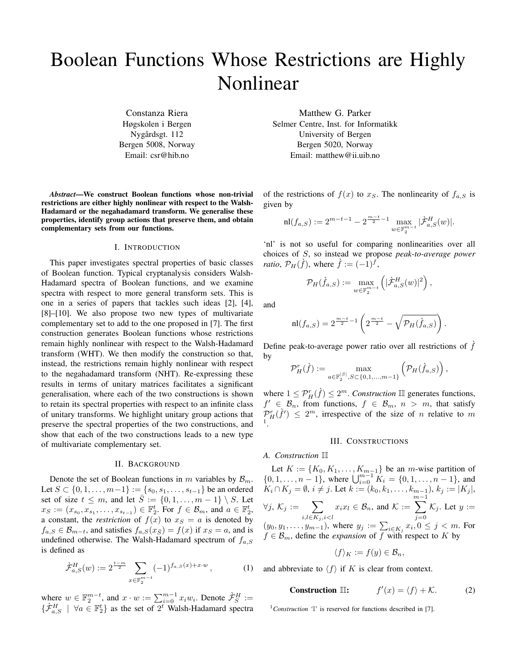# Boolean Functions Whose Restrictions are Highly Nonlinear

Constanza Riera Høgskolen i Bergen Nygårdsgt. 112 Bergen 5008, Norway Email: csr@hib.no

*Abstract*—We construct Boolean functions whose non-trivial restrictions are either highly nonlinear with respect to the Walsh-Hadamard or the negahadamard transform. We generalise these properties, identify group actions that preserve them, and obtain complementary sets from our functions.

#### I. INTRODUCTION

This paper investigates spectral properties of basic classes of Boolean function. Typical cryptanalysis considers Walsh-Hadamard spectra of Boolean functions, and we examine spectra with respect to more general transform sets. This is one in a series of papers that tackles such ideas [2], [4], [8]–[10]. We also propose two new types of multivariate complementary set to add to the one proposed in [7]. The first construction generates Boolean functions whose restrictions remain highly nonlinear with respect to the Walsh-Hadamard transform (WHT). We then modify the construction so that, instead, the restrictions remain highly nonlinear with respect to the negahadamard transform (NHT). Re-expressing these results in terms of unitary matrices facilitates a significant generalisation, where each of the two constructions is shown to retain its spectral properties with respect to an infinite class of unitary transforms. We highlight unitary group actions that preserve the spectral properties of the two constructions, and show that each of the two constructions leads to a new type of multivariate complementary set.

#### II. BACKGROUND

Denote the set of Boolean functions in m variables by  $\mathcal{B}_m$ . Let  $S \subset \{0, 1, \ldots, m-1\} := \{s_0, s_1, \ldots, s_{t-1}\}\$  be an ordered set of size  $t \leq m$ , and let  $\overline{S} := \{0, 1, \ldots, m - 1\} \setminus S$ . Let  $x_S := (x_{s_0}, x_{s_1}, \ldots, x_{s_{t-1}}) \in \mathbb{F}_2^t$ . For  $f \in \mathcal{B}_m$ , and  $a \in \mathbb{F}_2^t$ , a constant, the *restriction* of  $f(x)$  to  $x<sub>S</sub> = a$  is denoted by  $f_{a,S} \in \mathcal{B}_{m-t}$ , and satisfies  $f_{a,S}(x_{\bar{S}}) = f(x)$  if  $x_S = a$ , and is undefined otherwise. The Walsh-Hadamard spectrum of  $f_{a,S}$ is defined as

$$
\hat{\mathcal{F}}_{a,S}^{H}(w) := 2^{\frac{t-m}{2}} \sum_{x \in \mathbb{F}_2^{m-t}} (-1)^{f_{a,S}(x) + x \cdot w}, \tag{1}
$$

where  $w \in \mathbb{F}_2^{m-t}$ , and  $x \cdot w := \sum_{i=0}^{m-1} x_i w_i$ . Denote  $\hat{\mathcal{F}}_S^H :=$  $\{\hat{\mathcal{F}}_{a,S}^H \mid \forall a \in \mathbb{F}_2^t\}$  as the set of  $2^t$  Walsh-Hadamard spectra Matthew G. Parker

Selmer Centre, Inst. for Informatikk University of Bergen Bergen 5020, Norway Email: matthew@ii.uib.no

of the restrictions of  $f(x)$  to  $x<sub>S</sub>$ . The nonlinearity of  $f<sub>a,S</sub>$  is given by

$$
\mathrm{nl}(f_{a,S}) := 2^{m-t-1} - 2^{\frac{m-t}{2}-1} \max_{w \in \mathbb{F}_2^{m-t}} |\mathcal{F}_{a,S}^H(w)|.
$$

'nl' is not so useful for comparing nonlinearities over all choices of S, so instead we propose *peak-to-average power ratio*,  $\mathcal{P}_H(\tilde{f})$ , where  $\tilde{f} := (-1)^f$ ,

$$
\mathcal{P}_H(\dot{f}_{a,S}) := \max_{w \in \mathbb{F}_2^{m-t}} \left( |\dot{\mathcal{F}}_{a,S}^H(w)|^2 \right),
$$

and

$$
\mathrm{nl}(f_{a,S}) = 2^{\frac{m-t}{2}-1} \left( 2^{\frac{m-t}{2}} - \sqrt{\mathcal{P}_H(\hat{f}_{a,S})} \right).
$$

Define peak-to-average power ratio over all restrictions of  $\hat{f}$ by

$$
\mathcal{P}_H^r(\hat{f}) := \max_{a \in \mathbb{F}_2^{|S|}, S \subset \{0,1,\ldots,m-1\}} \left( \mathcal{P}_H(\hat{f}_{a,S}) \right),
$$

where  $1 \le P^r_H(\hat{f}) \le 2^m$ . *Construction* III generates functions,  $f' \in \mathcal{B}_n$ , from functions,  $f \in \mathcal{B}_m$ ,  $n > m$ , that satisfy  $\mathcal{P}_H^r(\hat{f}') \leq 2^m$ , irrespective of the size of n relative to m 1 .

## III. CONSTRUCTIONS

#### *A. Construction* II

Let  $K := \{K_0, K_1, \ldots, K_{m-1}\}\$  be an *m*-wise partition of  $\{0, 1, \ldots, n-1\}$ , where  $\bigcup_{i=0}^{m-1} K_i = \{0, 1, \ldots, n-1\}$ , and  $K_i \cap K_j = \emptyset$ ,  $i \neq j$ . Let  $k := (k_0, k_1, \ldots, k_{m-1}),$   $k_j := |K_j|$ ,  $\forall j, \, \mathcal{K}_j := \quad \sum$  $i,l \in K_j, i < l$  $x_ix_l \in \mathcal{B}_n$ , and  $\mathcal{K} :=$  $\sum^{m-1}$  $j=0$  $\mathcal{K}_j$ . Let  $y :=$  $(y_0, y_1, \ldots, y_{m-1})$ , where  $y_j := \sum_{i \in K_j} x_i, 0 \le j < m$ . For  $f \in \mathcal{B}_m$ , define the *expansion* of f with respect to K by

$$
\langle f \rangle_K := f(y) \in \mathcal{B}_n,
$$

and abbreviate to  $\langle f \rangle$  if K is clear from context.

**Construction** 
$$
\mathbb{II}
$$
:  $f'(x) = \langle f \rangle + \mathcal{K}$ . (2)

<sup>1</sup>Construction <sup>'</sup>I' is reserved for functions described in [7].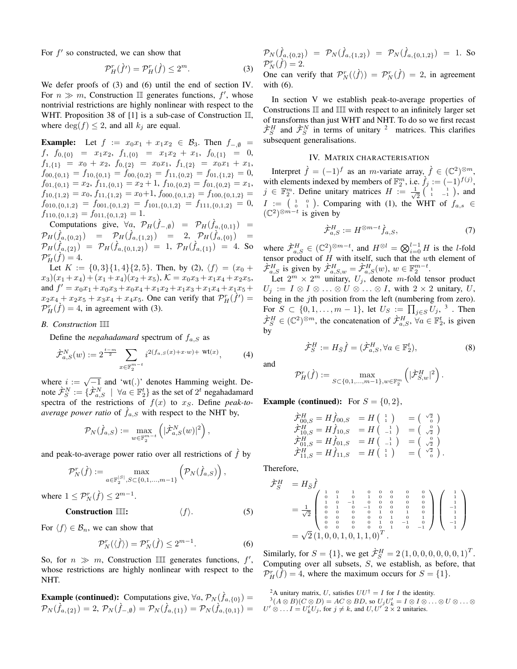For  $f'$  so constructed, we can show that

$$
\mathcal{P}_H^r(\dot{f}') = \mathcal{P}_H^r(\dot{f}) \le 2^m. \tag{3}
$$

We defer proofs of (3) and (6) until the end of section IV. For  $n \gg m$ , Construction III generates functions,  $f'$ , whose nontrivial restrictions are highly nonlinear with respect to the WHT. Proposition 38 of [1] is a sub-case of Construction III, where  $\deg(f) \leq 2$ , and all  $k_j$  are equal.

**Example:** Let  $f := x_0x_1 + x_1x_2 \in B_3$ . Then  $f_{-\varnothing} =$  $f, f_{0,\{0\}} = x_1x_2, f_{1,\{0\}} = x_1x_2 + x_1, f_{0,\{1\}} = 0,$  $f_{1,\{1\}} = x_0 + x_2, f_{0,\{2\}} = x_0x_1, f_{1,\{2\}} = x_0x_1 + x_1,$  $f_{00,\{0,1\}} = f_{10,\{0,1\}} = f_{00,\{0,2\}} = f_{11,\{0,2\}} = f_{01,\{1,2\}} = 0,$  $f_{01,\{0,1\}} = x_2, f_{11,\{0,1\}} = x_2 + 1, f_{10,\{0,2\}} = f_{01,\{0,2\}} = x_1,$  $f_{10,\{1,2\}} = x_0, f_{11,\{1,2\}} = x_0+1, f_{000,\{0,1,2\}} = f_{100,\{0,1,2\}} =$  $f_{010,\{0,1,2\}} = f_{001,\{0,1,2\}} = f_{101,\{0,1,2\}} = f_{111,\{0,1,2\}} = 0,$  $f_{110,\{0,1,2\}} = f_{011,\{0,1,2\}} = 1.$ 

Computations give,  $\forall a, \mathcal{P}_H(\hat{f}_{-, \emptyset}) = \mathcal{P}_H(\hat{f}_{a, \{0,1\}}) =$  $\mathcal{P}_H(\dot{f}_{a,\{0,2\}}) = \mathcal{P}_H(\dot{f}_{a,\{1,2\}}) = 2, \ \mathcal{P}_H(\dot{f}_{a,\{0\}}) =$  $\mathcal{P}_H(\hat{f}_{a,\{2\}}) = \mathcal{P}_H(\hat{f}_{a,\{0,1,2\}}) = 1, \ \mathcal{P}_H(\hat{f}_{a,\{1\}}) = 4.$  So  $\mathcal{P}_H^r(\widetilde{f})=4.$ 

Let  $K := \{0,3\}\{1,4\}\{2,5\}$ . Then, by (2),  $\langle f \rangle = (x_0 +$  $(x_3)(x_1+x_4)+(x_1+x_4)(x_2+x_5), \mathcal{K}=x_0x_3+x_1x_4+x_2x_5,$ and  $f' = x_0x_1 + x_0x_3 + x_0x_4 + x_1x_2 + x_1x_3 + x_1x_4 + x_1x_5 +$  $x_2x_4 + x_2x_5 + x_3x_4 + x_4x_5$ . One can verify that  $\mathcal{P}_H^r(\hat{f}') =$  $\mathcal{P}_H^r(\dot{f}) = 4$ , in agreement with (3).

#### *B. Construction* III

Define the *negahadamard* spectrum of  $f_{a,S}$  as

$$
\hat{\mathcal{F}}_{a,S}^{N}(w) := 2^{\frac{t-m}{2}} \sum_{x \in \mathbb{F}_2^{m-t}} i^{2(f_{a,S}(x) + x \cdot w) + \text{wt}(x)}, \tag{4}
$$

where  $i := \sqrt{-1}$  and 'wt(.)' denotes Hamming weight. Denote  $\dot{\mathcal{F}}_S^N := \{ \dot{\mathcal{F}}_{a,S}^N \mid \forall a \in \mathbb{F}_2^t \}$  as the set of  $2^t$  negahadamard spectra of the restrictions of  $f(x)$  to  $x<sub>S</sub>$ . Define *peak-toaverage power ratio* of  $\hat{f}_{a,S}$  with respect to the NHT by,

$$
\mathcal{P}_N(\hat{f}_{a,S}) := \max_{w \in \mathbb{F}_2^{m-t}} \left( |\hat{\mathcal{F}}_{a,S}^N(w)|^2 \right),
$$

and peak-to-average power ratio over all restrictions of  $\hat{f}$  by

$$
\mathcal{P}_N^r(\hat{f}) := \max_{a \in \mathbb{F}_2^{|S|}, S \subset \{0, 1, \dots, m-1\}} \left( \mathcal{P}_N(\hat{f}_{a,S}) \right),
$$

where  $1 \leq \mathcal{P}_N^r(\grave{f}) \leq 2^{m-1}$ .

# **Construction III:**  $\langle f \rangle$ . (5)

For  $\langle f \rangle \in \mathcal{B}_n$ , we can show that

$$
\mathcal{P}_N^r(\langle \hat{f} \rangle) = \mathcal{P}_N^r(\hat{f}) \le 2^{m-1}.
$$
 (6)

So, for  $n \gg m$ , Construction III generates functions,  $f'$ , whose restrictions are highly nonlinear with respect to the NHT.

**Example (continued):** Computations give,  $\forall a, \mathcal{P}_N(\hat{f}_{a,\{0\}}) =$  $\mathcal{P}_N(\hat{f}_{a,\{2\}}) = 2, \, \mathcal{P}_N(\hat{f}_{-,\emptyset}) = \mathcal{P}_N(\hat{f}_{a,\{1\}}) = \mathcal{P}_N(\hat{f}_{a,\{0,1\}}) = 0$   $\mathcal{P}_N(\hat{f}_{a,\{0,2\}}) = \mathcal{P}_N(\hat{f}_{a,\{1,2\}}) = \mathcal{P}_N(\hat{f}_{a,\{0,1,2\}}) = 1$ . So  $\mathcal{P}_N^r(\widetilde{f})=2.$ One can verify that  $\mathcal{P}_N^r(\langle \hat{f} \rangle) = \mathcal{P}_N^r(\hat{f}) = 2$ , in agreement with (6).

In section V we establish peak-to-average properties of Constructions II and III with respect to an infinitely larger set of transforms than just WHT and NHT. To do so we first recast  $\dot{\mathcal{F}}_S^H$  and  $\dot{\mathcal{F}}_S^N$  in terms of unitary <sup>2</sup> matrices. This clarifies subsequent generalisations.

## IV. MATRIX CHARACTERISATION

Interpret  $\hat{f} = (-1)^f$  as an *m*-variate array,  $\hat{f} \in (\mathbb{C}^2)^{\otimes m}$ , with elements indexed by members of  $\mathbb{F}_2^m$ , i.e.  $\dot{f}_j := (-1)^{f(j)}$ ,  $j \in \mathbb{F}_2^m$ . Define unitary matrices  $H := \frac{1}{\sqrt{2}}$  $\frac{1}{2}$   $\begin{pmatrix} 1 & 1 \\ 1 & -1 \end{pmatrix}$ , and  $I := \begin{pmatrix} 1 & 0 \\ 0 & 1 \end{pmatrix}$ . Comparing with (1), the WHT of  $f_{a,s} \in$  $(\mathbb{C}^2)^{\otimes m-t}$  is given by

$$
\dot{\mathcal{F}}_{a,S}^H := H^{\otimes m-t} \dot{f}_{a,S},\tag{7}
$$

where  $\dot{\mathcal{F}}_{a,S}^H \in (\mathbb{C}^2)^{\otimes m-t}$ , and  $H^{\otimes l} = \bigotimes_{i=0}^{l-1} H$  is the l-fold tensor product of  $H$  with itself, such that the wth element of  $\dot{\mathcal{F}}_{a,S}^H$  is given by  $\dot{\mathcal{F}}_{a,S,w}^H = \dot{\mathcal{F}}_{a,S}^H(w)$ ,  $w \in \mathbb{F}_2^{m-t}$ .

Let  $2^m \times 2^m$  unitary,  $U_j$ , denote m-fold tensor product  $U_j := I \otimes I \otimes \ldots \otimes U \otimes \ldots \otimes I$ , with  $2 \times 2$  unitary, U, being in the *j*th position from the left (numbering from zero). For  $S \subset \{0,1,\ldots,m-1\}$ , let  $U_S := \prod_{j \in S} U_j$ ,  $^3$  . Then  $\dot{\mathcal{F}}_S^H \in (\mathbb{C}^2)^{\otimes m}$ , the concatenation of  $\dot{\mathcal{F}}_{a,S}^H$ ,  $\forall a \in \mathbb{F}_2^t$ , is given by

$$
\dot{\mathcal{F}}_S^H := H_{\bar{S}} \dot{f} = (\dot{\mathcal{F}}_{a,S}^H, \forall a \in \mathbb{F}_2^t),\tag{8}
$$

.

and

$$
\mathcal{P}^r_H(\dot{f}) := \max_{S \subset \{0,1,\ldots,m-1\}, w \in \mathbb{F}_2^m} \left(|\dot{\mathcal{F}}^H_{S,w}|^2\right)
$$

**Example (continued):** For  $S = \{0, 2\}$ ,

$$
\begin{array}{ll}\n\dot{\mathcal{F}}_{00,S}^H = H \dot{f}_{00,S} &= H \left( \begin{array}{c} 1 \\ 1 \end{array} \right) &= \left( \begin{array}{c} \sqrt{2} \\ 0 \end{array} \right) \\
\dot{\mathcal{F}}_{10,S}^H = H \dot{f}_{10,S} &= H \left( \begin{array}{c} 1 \\ -1 \end{array} \right) &= \left( \begin{array}{c} \sqrt{2} \\ \sqrt{2} \end{array} \right) \\
\dot{\mathcal{F}}_{01,S}^H = H \dot{f}_{01,S} &= H \left( \begin{array}{c} 1 \\ -1 \end{array} \right) &= \left( \begin{array}{c} 0 \\ \sqrt{2} \end{array} \right) \\
\dot{\mathcal{F}}_{11,S}^H = H \dot{f}_{11,S} &= H \left( \begin{array}{c} 1 \\ 1 \end{array} \right) &= \left( \begin{array}{c} \sqrt{2} \\ \sqrt{2} \end{array} \right).\n\end{array}
$$

Therefore,

$$
\begin{array}{lll}\n\dot{\mathcal{F}}_S^H &=& H_{\bar{S}}\dot{f} \\
&=& \frac{1}{\sqrt{2}} \begin{pmatrix} 1 & 0 & 1 & 0 & 0 & 0 & 0 & 0 & 0 \\ 0 & 1 & 0 & 1 & 0 & 0 & 0 & 0 & 0 \\ 1 & 0 & -1 & 0 & 0 & 0 & 0 & 0 & 0 \\ 0 & 1 & 0 & -1 & 0 & 0 & 0 & 0 & 0 \\ 0 & 0 & 0 & 0 & 1 & 0 & 1 & 0 \\ 0 & 0 & 0 & 0 & 0 & 1 & 0 & 1 \\ 0 & 0 & 0 & 0 & 0 & 1 & 0 & -1 & 0 \\ 0 & 0 & 0 & 0 & 0 & 1 & 0 & -1 & 0 \\ 0 & 0 & 0 & 0 & 0 & 1 & 0 & -1 & 0 \\ 0 & 0 & 0 & 0 & 0 & 1 & 0 & -1 & 0 \\ 0 & 0 & 0 & 0 & 0 & 1 & 0 & -1 & 0 \end{pmatrix} \begin{pmatrix} 1 \\ 1 \\ -1 \\ 1 \\ -1 \\ -1 \\ 1 \end{pmatrix}\n\end{array}
$$

Similarly, for  $S = \{1\}$ , we get  $\dot{\mathcal{F}}_S^H = 2 (1, 0, 0, 0, 0, 0, 0, 1)^T$ . Computing over all subsets, S, we establish, as before, that  $\mathcal{P}_{H}^{r}(\hat{f}) = 4$ , where the maximum occurs for  $S = \{1\}.$ 

<sup>2</sup>A unitary matrix, U, satisfies  $UU^{\dagger} = I$  for I the identity.

 $(3(A \otimes B)(C \otimes D)) = AC \otimes BD$ , so  $U_j U_k' = I \otimes I \otimes \ldots \otimes U \otimes \ldots \otimes$  $U' \otimes \ldots I = U'_k U_j$ , for  $j \neq k$ , and  $U, U' \circ \times 2$  unitaries.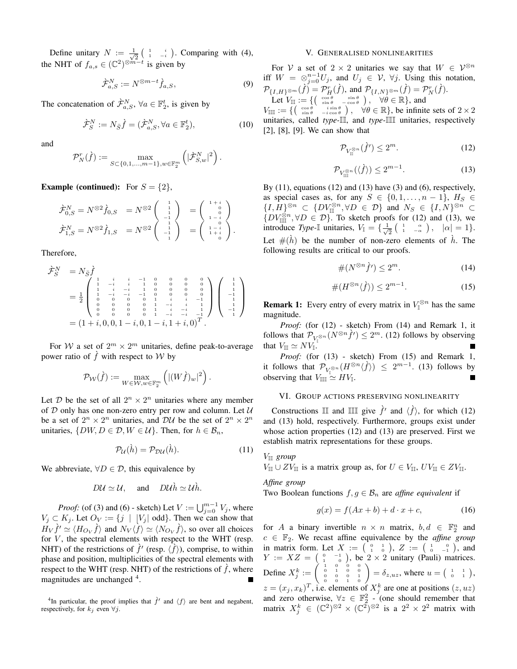Define unitary  $N := \frac{1}{\sqrt{2}}$  $\frac{1}{2}$   $\begin{pmatrix} 1 & i \\ 1 & -i \end{pmatrix}$ . Comparing with (4), the NHT of  $f_{a,s} \in (\mathbb{C}^2)^{\otimes m-t}$  is given by

$$
\dot{\mathcal{F}}_{a,S}^N := N^{\otimes m-t} \dot{f}_{a,S},\tag{9}
$$

The concatenation of  $\hat{\mathcal{F}}_{a,S}^N$ ,  $\forall a \in \mathbb{F}_2^t$ , is given by

$$
\dot{\mathcal{F}}_S^N := N_{\bar{S}} \dot{f} = (\dot{\mathcal{F}}_{a,S}^N, \forall a \in \mathbb{F}_2^t),\tag{10}
$$

and

$$
\mathcal{P}_N^r(\dot{f}) := \max_{S \subset \{0,1,\dots,m-1\}, w \in \mathbb{F}_2^m} \left( |\dot{\mathcal{F}}_{S,w}^N|^2 \right).
$$

**Example (continued):** For  $S = \{2\}$ ,

$$
\hat{\mathcal{F}}_{0,S}^{N} = N^{\otimes 2} \hat{f}_{0,S} = N^{\otimes 2} \begin{pmatrix} 1 \\ 1 \\ 1 \\ -1 \\ 1 \end{pmatrix} = \begin{pmatrix} 1+i \\ 0 \\ 0 \\ 1-i \\ 1-i \\ -i \end{pmatrix} \n\hat{\mathcal{F}}_{1,S}^{N} = N^{\otimes 2} \hat{f}_{1,S} = N^{\otimes 2} \begin{pmatrix} 1 \\ 1 \\ 1 \\ -1 \\ 1 \end{pmatrix} = \begin{pmatrix} 1+i \\ 0 \\ 1-i \\ 1+i \\ 1+i \\ 0 \end{pmatrix}.
$$

Therefore,

$$
\begin{array}{lll}\n\dot{\mathcal{F}}_S^N & = N_{\bar{S}}\dot{f} \\
& = \frac{1}{2} \begin{pmatrix} 1 & i & i & -1 & 0 & 0 & 0 & 0 \\ 1 & -i & i & 1 & 0 & 0 & 0 & 0 \\ 1 & -i & -i & 1 & 0 & 0 & 0 & 0 \\ 1 & -i & -i & -1 & 0 & 0 & 0 & 0 \\ 0 & 0 & 0 & 0 & 1 & i & i & -1 \\ 0 & 0 & 0 & 0 & 1 & -i & i & -i & 1 \\ 0 & 0 & 0 & 0 & 1 & -i & -i & -i & -1 \\ 0 & 0 & 0 & 0 & 1 & -i & -i & -i & -1 \\ 0 & 0 & 0 & 0 & 1 & -i & -i & -i & -1 \\ 0 & 0 & 0 & 0 & 1 & -i & -i & -i & -1 \\ 0 & 0 & 0 & 0 & 1 & -i & -i & -i & -1 \\ 0 & 0 & 0 & 0 & 1 & -i & -i & -i & -1 \end{pmatrix}
$$

For W a set of  $2^m \times 2^m$  unitaries, define peak-to-average power ratio of  $\hat{f}$  with respect to W by

$$
\mathcal{P}_{\mathcal{W}}(\hat{f}) := \max_{W \in \mathcal{W}, w \in \mathbb{F}_2^m} \left( |(W\hat{f})_w|^2 \right).
$$

Let D be the set of all  $2^n \times 2^n$  unitaries where any member of  $D$  only has one non-zero entry per row and column. Let  $U$ be a set of  $2^n \times 2^n$  unitaries, and  $D\mathcal{U}$  be the set of  $2^n \times 2^n$ unitaries,  $\{DW, D \in \mathcal{D}, W \in \mathcal{U}\}\$ . Then, for  $h \in \mathcal{B}_n$ ,

$$
\mathcal{P}_{\mathcal{U}}(\dot{h}) = \mathcal{P}_{\mathcal{D}\mathcal{U}}(\dot{h}).\tag{11}
$$

We abbreviate,  $\forall D \in \mathcal{D}$ , this equivalence by

$$
D\mathcal{U} \simeq \mathcal{U}, \quad \text{and} \quad D\mathcal{U}\hat{h} \simeq \mathcal{U}\hat{h}.
$$

*Proof:* (of (3) and (6) - sketch) Let  $V := \bigcup_{j=0}^{m-1} V_j$ , where  $V_j \subset K_j$ . Let  $O_V := \{j \mid |V_j| \text{ odd}\}\.$  Then we can show that  $H_V \dot{f}' \simeq \langle H_{O_V} \dot{f} \rangle$  and  $N_V \langle \dot{f} \rangle \simeq \langle N_{O_V} \dot{f} \rangle$ , so over all choices for  $V$ , the spectral elements with respect to the WHT (resp. NHT) of the restrictions of  $\hat{f}'$  (resp.  $\langle \hat{f} \rangle$ ), comprise, to within phase and position, multiplicities of the spectral elements with respect to the WHT (resp. NHT) of the restrictions of  $\hat{f}$ , where magnitudes are unchanged <sup>4</sup>.

#### V. GENERALISED NONLINEARITIES

For V a set of  $2 \times 2$  unitaries we say that  $W \in \mathcal{V}^{\otimes n}$ iff  $W = \otimes_{j=0}^{n-1} U_j$ , and  $U_j \in V$ ,  $\forall j$ . Using this notation,  $\mathcal{P}_{\{I,H\}^{\otimes m}}(\dot{f}) = \mathcal{P}_H^r(\dot{f}),$  and  $\mathcal{P}_{\{I,N\}^{\otimes m}}(\dot{f}) = \mathcal{P}_N^r(\dot{f}).$ Let  $V_{\mathbb{I}} := \{ \begin{pmatrix} \cos \theta & \sin \theta \\ \sin \theta & -\cos \theta \end{pmatrix}, \forall \theta \in \mathbb{R} \},\$  and  $V_{\mathbb{III}} := \{ \begin{pmatrix} \cos \theta & i \sin \theta \\ \sin \theta & -i \cos \theta \end{pmatrix}, \quad \forall \theta \in \mathbb{R} \},$  be infinite sets of  $2 \times 2$ unitaries, called *type-*II, and *type-*III unitaries, respectively

[2], [8], [9]. We can show that

$$
\mathcal{P}_{V_{\mathbb{II}}^{\otimes n}}(\dot{f}') \le 2^m. \tag{12}
$$

$$
\mathcal{P}_{V_{\mathbb{III}}^{\otimes n}}(\langle \dot{f} \rangle) \le 2^{m-1}.\tag{13}
$$

By  $(11)$ , equations  $(12)$  and  $(13)$  have  $(3)$  and  $(6)$ , respectively, as special cases as, for any  $S \in \{0, 1, \ldots, n-1\}$ ,  $H_S \in$  $\{I, H\}^{\otimes n} \subset \{DV_{\mathbb{II}}^{\otimes n}, \forall D \in \mathcal{D}\}\$  and  $N_S \in \{I, N\}^{\otimes n} \subset$  $\{DV_{\mathbb{III}}^{\otimes n}, \forall D \in \mathcal{D}\}\right)$ . To sketch proofs for (12) and (13), we introduce *Type*-II unitaries,  $V_{\parallel} = \{\frac{1}{\sqrt{2}}\}$  $\frac{1}{2}\begin{pmatrix} 1 & \frac{\alpha}{-\alpha} \end{pmatrix}, \quad |\alpha|=1\}.$ Let  $\#(\dot{h})$  be the number of non-zero elements of  $\dot{h}$ . The following results are critical to our proofs.

$$
\#(N^{\otimes n}\dot{f}') \le 2^m. \tag{14}
$$

$$
\#(H^{\otimes n}\langle\dot{f}\rangle) \le 2^{m-1}.\tag{15}
$$

**Remark 1:** Every entry of every matrix in  $V_{\parallel}^{\otimes n}$  has the same magnitude.

*Proof:* (for (12) - sketch) From (14) and Remark 1, it follows that  $\mathcal{P}_{V_1^{\otimes n}}(N^{\otimes n}\dot{f}') \leq 2^m$ . (12) follows by observing that  $V_{\mathbb{II}} \simeq NV_{\mathbb{I}}$ .

*Proof:* (for (13) - sketch) From (15) and Remark 1, it follows that  $\mathcal{P}_{V_1^{\otimes n}}(H^{\otimes n}\langle \hat{f} \rangle) \leq 2^{m-1}$ . (13) follows by observing that  $V_{\text{III}} \simeq HV_{\mathbb{I}}$ .

#### VI. GROUP ACTIONS PRESERVING NONLINEARITY

Constructions  $\mathbb{II}$  and  $\mathbb{III}$  give  $\dot{f}'$  and  $\langle \dot{f} \rangle$ , for which (12) and (13) hold, respectively. Furthermore, groups exist under whose action properties (12) and (13) are preserved. First we establish matrix representations for these groups.

# VII *group*

 $V_{\mathbb{II}} \cup ZV_{\mathbb{II}}$  is a matrix group as, for  $U \in V_{\mathbb{II}}$ ,  $UV_{\mathbb{II}} \in ZV_{\mathbb{II}}$ .

*Affine group*

Two Boolean functions  $f, g \in \mathcal{B}_n$  are *affine equivalent* if

$$
g(x) = f(Ax + b) + d \cdot x + c,\tag{16}
$$

for A a binary invertible  $n \times n$  matrix,  $b, d \in \mathbb{F}_2^n$  and  $c \in \mathbb{F}_2$ . We recast affine equivalence by the *affine group* in matrix form. Let  $X := \begin{pmatrix} 0 & 1 \\ 1 & 0 \end{pmatrix}$ ,  $Z := \begin{pmatrix} 1 & 0 \\ 0 & -1 \end{pmatrix}$ , and  $Y := XZ = \begin{pmatrix} 0 & -1 \\ 1 & 0 \end{pmatrix}$ , be  $2 \times 2$  unitary (Pauli) matrices. Define  $X_j^k := \begin{pmatrix} 1 & 0 & 0 & 0 \\ 0 & 1 & 0 & 0 \\ 0 & 0 & 0 & 1 \\ 0 & 0 & 1 & 0 \end{pmatrix} = \delta_{z,uz}$ , where  $u = \begin{pmatrix} 1 & 1 \\ 0 & 1 \end{pmatrix}$ ,  $z = (x_j, x_k)^T$ , i.e. elements of  $X_j^k$  are one at positions  $(z, uz)$ and zero otherwise,  $\forall z \in \mathbb{F}_2^2$  - (one should remember that matrix  $X_j^k \in (\mathbb{C}^2)^{\otimes 2} \times (\mathbb{C}^2)^{\otimes 2}$  is a  $2^2 \times 2^2$  matrix with

<sup>&</sup>lt;sup>4</sup>In particular, the proof implies that  $\hat{f}'$  and  $\langle f \rangle$  are bent and negabent, respectively, for  $k_j$  even  $\forall j$ .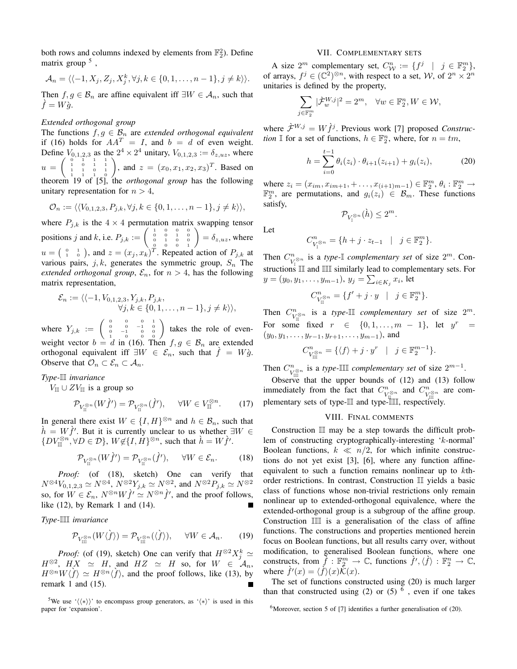both rows and columns indexed by elements from  $\mathbb{F}_2^2$ ). Define matrix group <sup>5</sup>,

$$
\mathcal{A}_n = \langle \langle -1, X_j, Z_j, X_j^k, \forall j, k \in \{0, 1, \ldots, n-1\}, j \neq k \rangle \rangle.
$$

Then  $f, g \in \mathcal{B}_n$  are affine equivalent iff  $\exists W \in \mathcal{A}_n$ , such that  $\dot{f} = W\dot{q}.$ 

#### *Extended orthogonal group*

The functions  $f, g \in \mathcal{B}_n$  are *extended orthogonal equivalent* if (16) holds for  $AA^T = I$ , and  $b = d$  of even weight. Define  $V_{0,1,2,3}$  as the  $2^4 \times 2^4$  unitary,  $V_{0,1,2,3} := \delta_{z,uz}$ , where  $u = \begin{pmatrix} 0 & 1 & 1 & 1 \\ 1 & 0 & 1 & 1 \\ 1 & 1 & 0 & 1 \\ 1 & 1 & 1 & 0 \end{pmatrix}$ , and  $z = (x_0, x_1, x_2, x_3)^T$ . Based on theorem 19 of [5], the *orthogonal group* has the following unitary representation for  $n > 4$ ,

$$
\mathcal{O}_n := \langle \langle V_{0,1,2,3}, P_{j,k}, \forall j, k \in \{0,1,\ldots,n-1\}, j \neq k \rangle \rangle,
$$

where  $P_{j,k}$  is the  $4 \times 4$  permutation matrix swapping tensor positions j and k, i.e.  $P_{j,k} := \begin{pmatrix} 1 & 0 & 0 & 0 \\ 0 & 0 & 1 & 0 \\ 0 & 1 & 0 & 0 \\ 0 & 0 & 0 & 1 \end{pmatrix} = \delta_{z,uz}$ , where  $u = \begin{pmatrix} 0 & 1 \\ 1 & 0 \end{pmatrix}$ , and  $z = (x_j, x_k)^T$ . Repeated action of  $P_{j,k}$  at various pairs,  $j, k$ , generates the symmetric group,  $S_n$  The *extended orthogonal group,*  $\mathcal{E}_n$ , for  $n > 4$ , has the following matrix representation,

$$
\mathcal{E}_n := \langle \langle -1, V_{0,1,2,3}, Y_{j,k}, P_{j,k}, \newline \forall j, k \in \{0,1,\ldots,n-1\}, j \neq k \rangle \rangle,
$$

where  $Y_{j,k} := \begin{pmatrix} 0 & 0 & 0 & 1 \\ 0 & 0 & -1 & 0 \\ 0 & -1 & 0 & 0 \\ 1 & 0 & 0 & 0 \end{pmatrix}$  takes the role of evenweight vector  $b = d$  in (16). Then  $f, g \in \mathcal{B}_n$  are extended orthogonal equivalent iff  $\exists W \in \mathcal{E}_n$ , such that  $\hat{f} = W\hat{g}$ . Observe that  $\mathcal{O}_n \subset \mathcal{E}_n \subset \mathcal{A}_n$ .

# *Type-*II *invariance*

 $V_{\text{III}}$  ∪  $ZV_{\text{III}}$  is a group so

$$
\mathcal{P}_{V_{\mathbb{II}}^{\otimes n}}(W\dot{f}') = \mathcal{P}_{V_{\mathbb{II}}^{\otimes n}}(\dot{f}'), \quad \forall W \in V_{\mathbb{II}}^{\otimes n}.\tag{17}
$$

In general there exist  $W \in \{I, H\}^{\otimes n}$  and  $h \in \mathcal{B}_n$ , such that  $\hat{h} = W \hat{f}'$ . But it is currently unclear to us whether  $\exists W \in$  $\{DV_{\mathbb{I}}^{\otimes n}, \forall D \in \mathcal{D}\}, W \notin \{I, H\}^{\otimes n}$ , such that  $\dot{h} = W \dot{f}'$ .

$$
\mathcal{P}_{V_{\mathbb{II}}^{\otimes n}}(W\dot{f}') = \mathcal{P}_{V_{\mathbb{II}}^{\otimes n}}(\dot{f}'), \quad \forall W \in \mathcal{E}_n.
$$
 (18)

*Proof:* (of (18), sketch) One can verify that  $N^{\otimes 4}V_{0,1,2,3} \simeq N^{\otimes 4}$ ,  $N^{\otimes 2}Y_{j,k} \simeq N^{\otimes 2}$ , and  $N^{\otimes 2}P_{j,k} \simeq N^{\otimes 2}$ so, for  $W \in \mathcal{E}_n$ ,  $N^{\otimes n}W\dot{f}' \simeq N^{\otimes n}\dot{f}'$ , and the proof follows, like (12), by Remark 1 and (14).

*Type-*III *invariance*

$$
\mathcal{P}_{V^{\otimes n}_{\text{III}}}(W\langle\dot{f}\rangle) = \mathcal{P}_{V^{\otimes n}_{\text{III}}}(\langle\dot{f}\rangle), \quad \forall W \in \mathcal{A}_n. \tag{19}
$$

*Proof:* (of (19), sketch) One can verify that  $H^{\otimes 2}X_j^k \simeq$  $H^{\otimes 2}$ ,  $H X \simeq H$ , and  $HZ \simeq H$  so, for  $W \in \mathcal{A}_n$ ,  $H^{\otimes n}W\langle f \rangle \simeq H^{\otimes n}\langle f \rangle$ , and the proof follows, like (13), by remark 1 and (15).

<sup>5</sup>We use ' $\langle \langle * \rangle$ ' to encompass group generators, as ' $\langle * \rangle$ ' is used in this paper for 'expansion'.

#### VII. COMPLEMENTARY SETS

A size  $2^m$  complementary set,  $C_{\mathcal{W}}^n := \{ f^j \mid j \in \mathbb{F}_2^m \},\$ of arrays,  $f^j \in (\mathbb{C}^2)^{\otimes n}$ , with respect to a set, W, of  $2^n \times 2^n$ unitaries is defined by the property,

$$
\sum_{j\in\mathbb{F}_2^m}|\dot{\mathcal{F}}_w^{W,j}|^2=2^m,\quad\forall w\in\mathbb{F}_2^n,W\in\mathcal{W},
$$

where  $\hat{\mathcal{F}}^{W,j} = W \hat{f}^j$ . Previous work [7] proposed *Construction* I for a set of functions,  $h \in \mathbb{F}_2^n$ , where, for  $n = tm$ ,

$$
h = \sum_{i=0}^{t-1} \theta_i(z_i) \cdot \theta_{i+1}(z_{i+1}) + g_i(z_i), \tag{20}
$$

 $_{2}^{m}$ .

where  $z_i = (x_{im}, x_{im+1}, + \dots, x_{(i+1)m-1}) \in \mathbb{F}_2^m$ ,  $\theta_i : \mathbb{F}_2^m \to$  $\mathbb{F}_2^m$ , are permutations, and  $g_i(z_i) \in \mathcal{B}_m$ . These functions satisfy,

$$
\mathcal{P}_{V_{\mathbb{I}}^{\otimes n}}(\grave{h}) \leq 2^m.
$$

$$
C_{V_{\mathbb{I}}}^n = \{ h + j \cdot z_{t-1} \quad | \quad j \in \mathbb{F}
$$

Let

Then  $C_v^n$  $\sum_{V_1$ <sup>⊗n</sup> is a *type*- $\mathbb{I}$  *complementary set* of size  $2^m$ . Constructions  $\mathbb{II}$  and  $\mathbb{III}$  similarly lead to complementary sets. For  $y = (y_0, y_1, \dots, y_{m-1}), y_j = \sum_{i \in K_j} x_i$ , let

$$
C_{V_{\mathbb{H}}^{\otimes n}}^{n} = \{f' + j \cdot y \mid j \in \mathbb{F}_2^{m}\}.
$$

Then  $C_v^n$ <sup>*n*</sup><sub>*V*<sup>∞</sup></sub> is a *type*-Ⅲ *complementary set* of size  $2^m$ . For some fixed  $r \in \{0, 1, \ldots, m-1\}$ , let  $y^r =$  $(y_0, y_1, \ldots, y_{r-1}, y_{r+1}, \ldots, y_{m-1})$ , and

$$
C^n_{V^{\otimes n}_{\text{III}}} = \{ \langle f \rangle + j \cdot y^r \mid j \in \mathbb{F}_2^{m-1} \}.
$$

Then  $C_v^n$ <sup>*m*</sup><sub><del>0</del><sup>∞</sup> is a *type-*IIII *complementary set* of size  $2^{m-1}$ .</sub>

Observe that the upper bounds of  $(12)$  and  $(13)$  follow immediately from the fact that  $C_v^n$  $\bigcup_{V_{\mathbb{II}} \subset \mathbb{I}}^n$  and  $C_{V_{\mathbb{II}}^n}^n$  $V_{\text{III}}^{n}$  are complementary sets of type-II and type-III, respectively.

### VIII. FINAL COMMENTS

Construction  $\mathbb{I}$  may be a step towards the difficult problem of constructing cryptographically-interesting 'k-normal' Boolean functions,  $k \ll n/2$ , for which infinite constructions do not yet exist [3], [6], where any function affineequivalent to such a function remains nonlinear up to  $k$ thorder restrictions. In contrast, Construction II yields a basic class of functions whose non-trivial restrictions only remain nonlinear up to extended-orthogonal equivalence, where the extended-orthogonal group is a subgroup of the affine group. Construction  $III$  is a generalisation of the class of affine functions. The constructions and properties mentioned herein focus on Boolean functions, but all results carry over, without modification, to generalised Boolean functions, where one constructs, from  $\tilde{f} : \mathbb{F}_2^m \to \mathbb{C}$ , functions  $\dot{f}', \langle \dot{f} \rangle : \mathbb{F}_2^n \to \mathbb{C}$ , where  $\dot{f}'(x) = \langle \dot{f} \rangle(x) \dot{\tilde{\mathcal{K}}}(x)$ .

The set of functions constructed using (20) is much larger than that constructed using (2) or (5)  $<sup>6</sup>$ , even if one takes</sup>

<sup>6</sup>Moreover, section 5 of [7] identifies a further generalisation of (20).